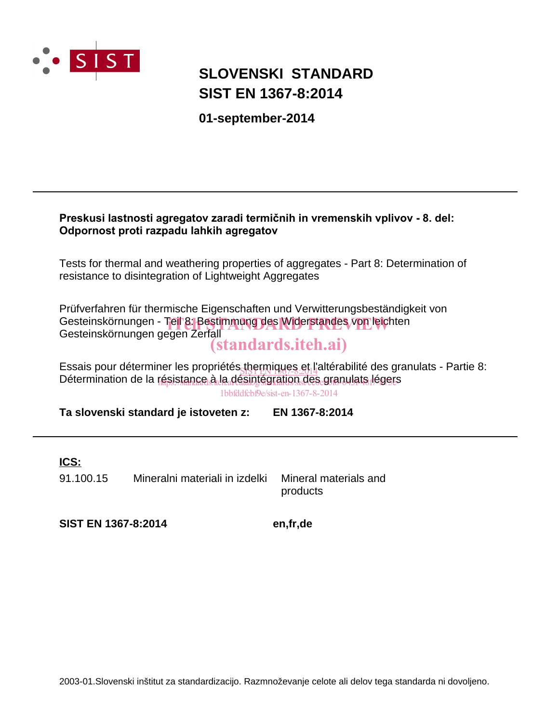

# **SIST EN 1367-8:2014 SLOVENSKI STANDARD**

**01-september-2014**

# Preskusi lastnosti agregatov zaradi termičnih in vremenskih vplivov - 8. del: **2GB** Odpornost proti razpadu lahkih agregatov

Tests for thermal and weathering properties of aggregates - Part 8: Determination of resistance to disintegration of Lightweight Aggregates

Prüfverfahren für thermische Eigenschaften und Verwitterungsbeständigkeit von Gesteinskörnungen - Teil 8: Bestimmung des Widerstandes von leichten<br>Gesteinskörnungen gegen Zerfall Gesteinskörnungen gegen Zerfall (standards.iteh.ai)

Essais pour déterminer les propriétés thermiques et l'altérabilité des granulats - Partie 8:<br>Périeurs Détermination de la résistance à la désintégration des granulats légers 1bbfddfcbf9e/sist-en-1367-8-2014

**Ta slovenski standard je istoveten z: EN 1367-8:2014**

# **ICS:**

91.100.15 Mineralni materiali in izdelki Mineral materials and products

**SIST EN 1367-8:2014 en,fr,de**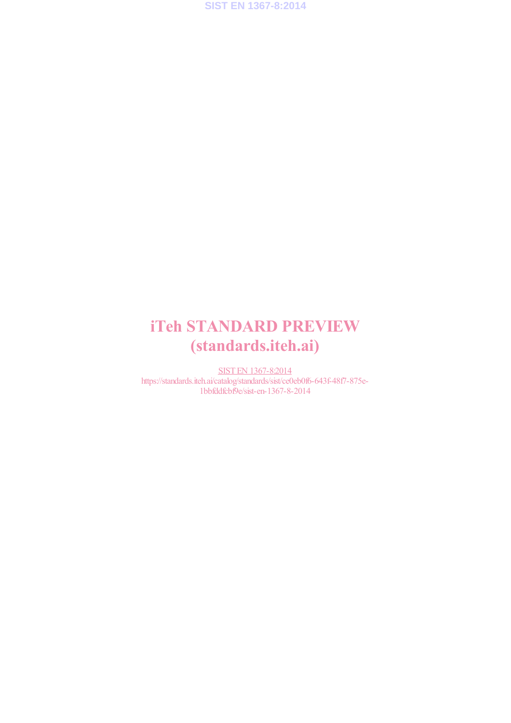**SIST EN 1367-8:2014**

# iTeh STANDARD PREVIEW (standards.iteh.ai)

SIST EN 1367-8:2014 https://standards.iteh.ai/catalog/standards/sist/ce0eb0f6-643f-48f7-875e-1bbfddfcbf9e/sist-en-1367-8-2014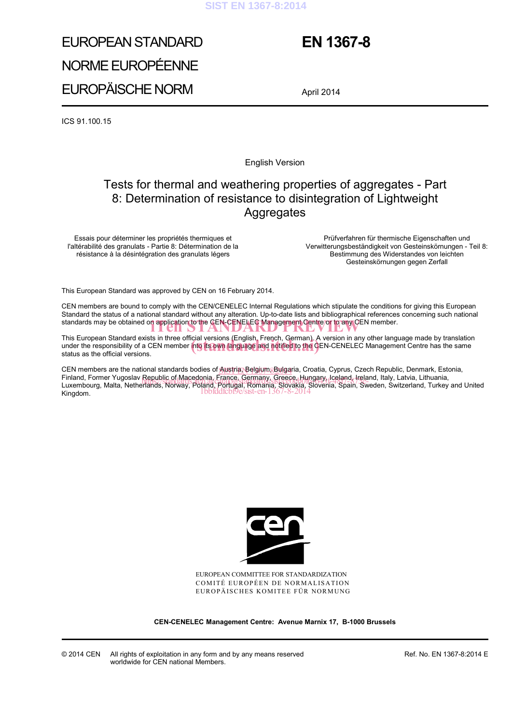#### **SIST EN 1367-8:2014**

# EUROPEAN STANDARD NORME EUROPÉENNE EUROPÄISCHE NORM

# **EN 1367-8**

April 2014

ICS 91.100.15

English Version

# Tests for thermal and weathering properties of aggregates - Part 8: Determination of resistance to disintegration of Lightweight **Aggregates**

Essais pour déterminer les propriétés thermiques et l'altérabilité des granulats - Partie 8: Détermination de la résistance à la désintégration des granulats légers

 Prüfverfahren für thermische Eigenschaften und Verwitterungsbeständigkeit von Gesteinskörnungen - Teil 8: Bestimmung des Widerstandes von leichten Gesteinskörnungen gegen Zerfall

This European Standard was approved by CEN on 16 February 2014.

CEN members are bound to comply with the CEN/CENELEC Internal Regulations which stipulate the conditions for giving this European Standard the status of a national standard without any alteration. Up-to-date lists and bibliographical references concerning such national standards may be obtained on application to the CEN-CENELEC Management Centre or to any CEN member.

This European Standard exists in three official versions (English, French, German). A version in any other language made by translation This European Standard exists in three official versions (English, French, German). A version in any other language made by translation<br>under the responsibility of a CEN member into its own language and notified to the CEN status as the official versions.

CEN members are the national standards bodies of Austria, Belgium, Bulgaria, Croatia, Cyprus, Czech Republic, Denmark, Estonia, Finland, Former Yugoslav Republic of Macedonia, France, Germany, Greece, Hungary, Iceland, Ireland, Italy, Latvia, Lithuania,<br>Luxembourg, Malta, Netherlands. Nonvad Spandard Bornaga Bomania Shougha Sistrania Shain, Sweden, Luxembourg, Malta, Netherlands, Norway, Poland, Portugal, Romania, Slovakia, Slovenia, Spain, Sweden, Switzerland, Turkey and United<br>Kingdom. Kingdom.



EUROPEAN COMMITTEE FOR STANDARDIZATION COMITÉ EUROPÉEN DE NORMALISATION EUROPÄISCHES KOMITEE FÜR NORMUNG

**CEN-CENELEC Management Centre: Avenue Marnix 17, B-1000 Brussels** 

Ref. No. EN 1367-8:2014 E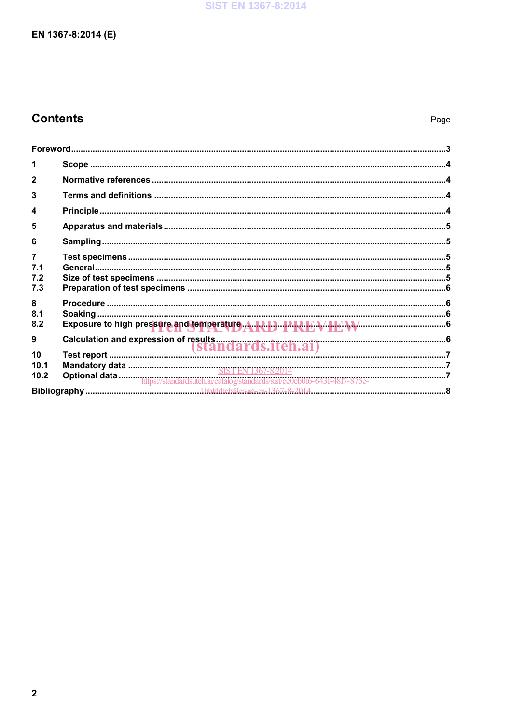### **SIST EN 1367-8:2014**

# EN 1367-8:2014 (E)

# **Contents**

| 1              |                                                                                                                      |  |  |
|----------------|----------------------------------------------------------------------------------------------------------------------|--|--|
| $\mathbf{2}$   |                                                                                                                      |  |  |
| 3              |                                                                                                                      |  |  |
| 4              |                                                                                                                      |  |  |
| 5              |                                                                                                                      |  |  |
| 6              |                                                                                                                      |  |  |
| $\overline{7}$ |                                                                                                                      |  |  |
| 7.1            |                                                                                                                      |  |  |
| 7.2            |                                                                                                                      |  |  |
| 7.3            |                                                                                                                      |  |  |
| 8              |                                                                                                                      |  |  |
| 8.1            |                                                                                                                      |  |  |
| 8.2            |                                                                                                                      |  |  |
| 9              |                                                                                                                      |  |  |
|                | Calculation and expression of results<br><b>STANDATOS.ITCH.AI STANDATOS.ITCH.AI EXPRESSION CONSUMER THESE REPORT</b> |  |  |
| 10             |                                                                                                                      |  |  |
| 10.1           |                                                                                                                      |  |  |
| 10.2           |                                                                                                                      |  |  |
|                |                                                                                                                      |  |  |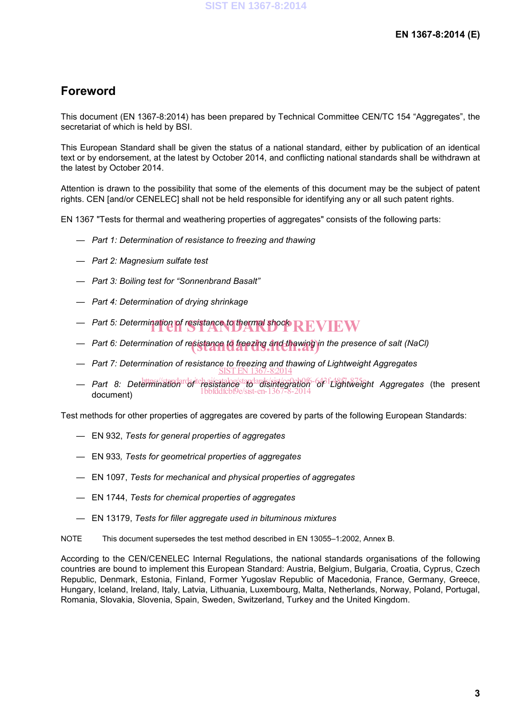# **Foreword**

This document (EN 1367-8:2014) has been prepared by Technical Committee CEN/TC 154 "Aggregates", the secretariat of which is held by BSI.

This European Standard shall be given the status of a national standard, either by publication of an identical text or by endorsement, at the latest by October 2014, and conflicting national standards shall be withdrawn at the latest by October 2014.

Attention is drawn to the possibility that some of the elements of this document may be the subject of patent rights. CEN [and/or CENELEC] shall not be held responsible for identifying any or all such patent rights.

EN 1367 "Tests for thermal and weathering properties of aggregates" consists of the following parts:

- *Part 1: Determination of resistance to freezing and thawing*
- *Part 2: Magnesium sulfate test*
- *Part 3: Boiling test for "Sonnenbrand Basalt"*
- *Part 4: Determination of drying shrinkage*
- *Part 5: Determination of resistance to thermal shock* REVIEW
- Part 6: Determination of resistance to freezing and thawing in the presence of salt (NaCl)
- *Part 7: Determination of resistance to freezing and thawing of Lightweight Aggregates* SIST EN 1367-8:2014
- Part 8: Determination of earstands of dargesting of the file of the present document) 1bbfddfcbf9e/sist-en-1367-8-2014

Test methods for other properties of aggregates are covered by parts of the following European Standards:

- EN 932, *Tests for general properties of aggregates*
- EN 933*, Tests for geometrical properties of aggregates*
- EN 1097, *Tests for mechanical and physical properties of aggregates*
- EN 1744, *Tests for chemical properties of aggregates*
- EN 13179, *Tests for filler aggregate used in bituminous mixtures*

NOTE This document supersedes the test method described in EN 13055–1:2002, Annex B.

According to the CEN/CENELEC Internal Regulations, the national standards organisations of the following countries are bound to implement this European Standard: Austria, Belgium, Bulgaria, Croatia, Cyprus, Czech Republic, Denmark, Estonia, Finland, Former Yugoslav Republic of Macedonia, France, Germany, Greece, Hungary, Iceland, Ireland, Italy, Latvia, Lithuania, Luxembourg, Malta, Netherlands, Norway, Poland, Portugal, Romania, Slovakia, Slovenia, Spain, Sweden, Switzerland, Turkey and the United Kingdom.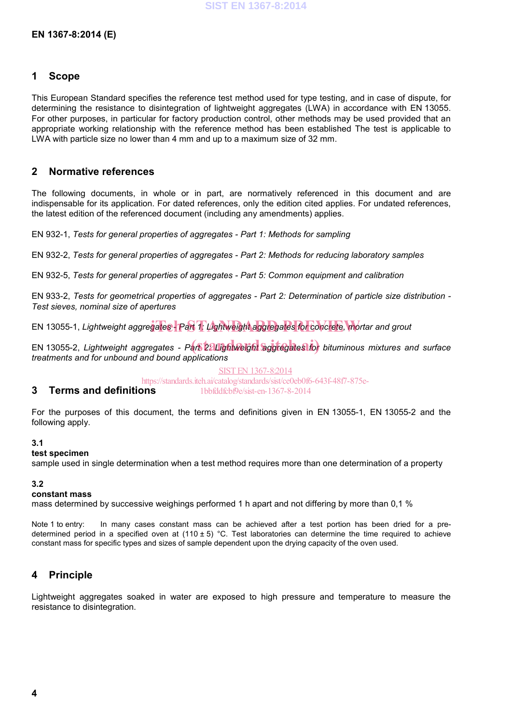#### **1 Scope**

This European Standard specifies the reference test method used for type testing, and in case of dispute, for determining the resistance to disintegration of lightweight aggregates (LWA) in accordance with EN 13055. For other purposes, in particular for factory production control, other methods may be used provided that an appropriate working relationship with the reference method has been established The test is applicable to LWA with particle size no lower than 4 mm and up to a maximum size of 32 mm.

#### **2 Normative references**

The following documents, in whole or in part, are normatively referenced in this document and are indispensable for its application. For dated references, only the edition cited applies. For undated references, the latest edition of the referenced document (including any amendments) applies.

EN 932-1, *Tests for general properties of aggregates - Part 1: Methods for sampling*

EN 932-2, *Tests for general properties of aggregates - Part 2: Methods for reducing laboratory samples*

EN 932-5, *Tests for general properties of aggregates - Part 5: Common equipment and calibration*

EN 933-2, *Tests for geometrical properties of aggregates - Part 2: Determination of particle size distribution - Test sieves, nominal size of apertures*

EN 13055-1, Lightweight aggregates - Part 1: Lightweight aggregates for concrete, mortar and grout

EN 13055-2, Lightweight aggregates - Part 2: Lightweight aggregates for bituminous mixtures and surface *treatments and for unbound and bound applications*

> SIST EN 1367-8:2014 https://standards.iteh.ai/catalog/standards/sist/ce0eb0f6-643f-48f7-875e-1bbfddfcbf9e/sist-en-1367-8-2014

## **3 Terms and definitions**

For the purposes of this document, the terms and definitions given in EN 13055-1, EN 13055-2 and the following apply.

#### **3.1**

#### **test specimen**

sample used in single determination when a test method requires more than one determination of a property

#### **3.2**

#### **constant mass**

mass determined by successive weighings performed 1 h apart and not differing by more than 0,1 %

Note 1 to entry: In many cases constant mass can be achieved after a test portion has been dried for a predetermined period in a specified oven at (110  $\pm$  5) °C. Test laboratories can determine the time required to achieve constant mass for specific types and sizes of sample dependent upon the drying capacity of the oven used.

### **4 Principle**

Lightweight aggregates soaked in water are exposed to high pressure and temperature to measure the resistance to disintegration.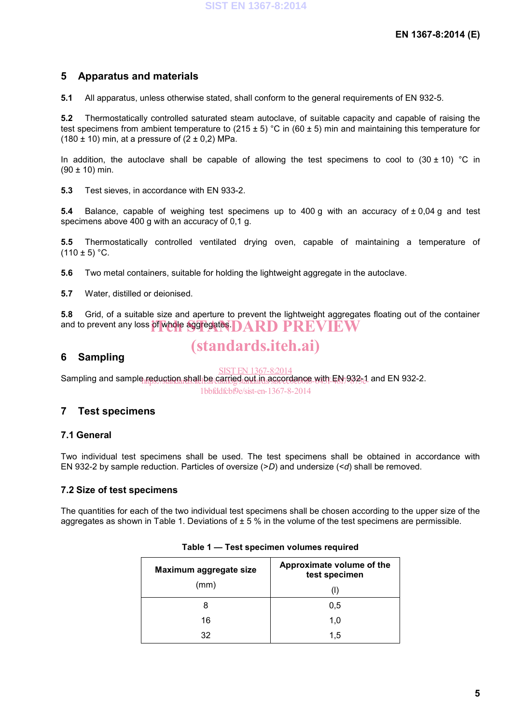## **5 Apparatus and materials**

**5.1** All apparatus, unless otherwise stated, shall conform to the general requirements of EN 932-5.

**5.2** Thermostatically controlled saturated steam autoclave, of suitable capacity and capable of raising the test specimens from ambient temperature to (215  $\pm$  5) °C in (60  $\pm$  5) min and maintaining this temperature for  $(180 \pm 10)$  min, at a pressure of  $(2 \pm 0.2)$  MPa.

In addition, the autoclave shall be capable of allowing the test specimens to cool to  $(30 \pm 10)$  °C in  $(90 \pm 10)$  min.

**5.3** Test sieves, in accordance with EN 933-2.

**5.4** Balance, capable of weighing test specimens up to 400 g with an accuracy of ± 0,04 g and test specimens above 400 g with an accuracy of 0,1 g.

**5.5** Thermostatically controlled ventilated drying oven, capable of maintaining a temperature of  $(110 \pm 5)$  °C.

**5.6** Two metal containers, suitable for holding the lightweight aggregate in the autoclave.

**5.7** Water, distilled or deionised.

**5.8** Grid, of a suitable size and aperture to prevent the lightweight aggregates floating out of the container and to prevent any loss of whole aggregates DARD PREVIEW

# (standards.iteh.ai)

### **6 Sampling**

SIST EN 1367-8:2014

Sampling and sample reduction shall be carried out in accordance with EN 932-1 and EN 932-2.

1bbfddfcbf9e/sist-en-1367-8-2014

### **7 Test specimens**

#### **7.1 General**

Two individual test specimens shall be used. The test specimens shall be obtained in accordance with EN 932-2 by sample reduction. Particles of oversize (>*D*) and undersize (<*d*) shall be removed.

#### **7.2 Size of test specimens**

The quantities for each of the two individual test specimens shall be chosen according to the upper size of the aggregates as shown in Table 1. Deviations of  $\pm$  5 % in the volume of the test specimens are permissible.

| Maximum aggregate size | Approximate volume of the<br>test specimen |
|------------------------|--------------------------------------------|
| (mm)                   |                                            |
|                        | 0.5                                        |
| 16                     | 1,0                                        |
| 32                     | 1.5                                        |

#### **Table 1 — Test specimen volumes required**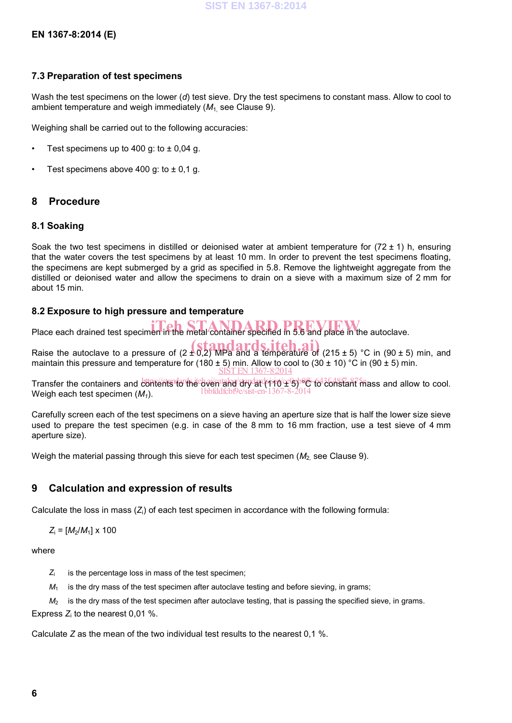#### **7.3 Preparation of test specimens**

Wash the test specimens on the lower (*d*) test sieve. Dry the test specimens to constant mass. Allow to cool to ambient temperature and weigh immediately ( $M_1$ , see Clause 9).

Weighing shall be carried out to the following accuracies:

- Test specimens up to 400 g: to  $\pm$  0,04 g.
- Test specimens above 400 g: to  $\pm$  0,1 g.

### **8 Procedure**

#### **8.1 Soaking**

Soak the two test specimens in distilled or deionised water at ambient temperature for  $(72 \pm 1)$  h, ensuring that the water covers the test specimens by at least 10 mm. In order to prevent the test specimens floating, the specimens are kept submerged by a grid as specified in 5.8. Remove the lightweight aggregate from the distilled or deionised water and allow the specimens to drain on a sieve with a maximum size of 2 mm for about 15 min.

#### **8.2 Exposure to high pressure and temperature**

Place each drained test specimen in the metal container specified in 5.6 and place in the autoclave.

Raise the autoclave to a pressure of  $(2 \pm 0.2)$  MPa and a temperature of  $(215 \pm 5)$  °C in  $(90 \pm 5)$  min, and

maintain this pressure and temperature for (180  $\pm$  5) min. Allow to cool to (30  $\pm$  10) °C in (90  $\pm$  5) min. SIST EN 1367-8:2014

Transfer the containers and contents for the byen and dry arc (1906-643f 643f 676f8f7 frass and allow to cool. Weigh each test specimen ( $M_1$ ). 1bbfddfcbf9e/sist-en-1367-8-2014

Carefully screen each of the test specimens on a sieve having an aperture size that is half the lower size sieve used to prepare the test specimen (e.g. in case of the 8 mm to 16 mm fraction, use a test sieve of 4 mm aperture size).

Weigh the material passing through this sieve for each test specimen ( $M<sub>2</sub>$  see Clause 9).

## **9 Calculation and expression of results**

Calculate the loss in mass (*Z*i) of each test specimen in accordance with the following formula:

 $Z_i = [M_2/M_1] \times 100$ 

where

- *Z*<sup>i</sup> is the percentage loss in mass of the test specimen;
- $M<sub>1</sub>$  is the dry mass of the test specimen after autoclave testing and before sieving, in grams;

*M*<sub>2</sub> is the dry mass of the test specimen after autoclave testing, that is passing the specified sieve, in grams.

Express  $Z_i$  to the nearest 0,01 %.

Calculate *Z* as the mean of the two individual test results to the nearest 0,1 %.